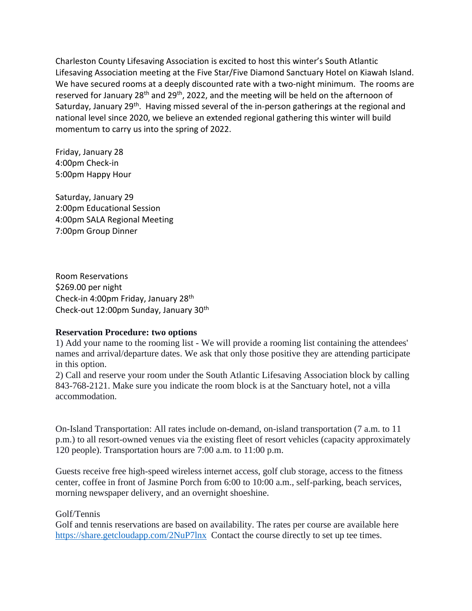Charleston County Lifesaving Association is excited to host this winter's South Atlantic Lifesaving Association meeting at the Five Star/Five Diamond Sanctuary Hotel on Kiawah Island. We have secured rooms at a deeply discounted rate with a two-night minimum. The rooms are reserved for January 28<sup>th</sup> and 29<sup>th</sup>, 2022, and the meeting will be held on the afternoon of Saturday, January 29<sup>th</sup>. Having missed several of the in-person gatherings at the regional and national level since 2020, we believe an extended regional gathering this winter will build momentum to carry us into the spring of 2022.

Friday, January 28 4:00pm Check-in 5:00pm Happy Hour

Saturday, January 29 2:00pm Educational Session 4:00pm SALA Regional Meeting 7:00pm Group Dinner

Room Reservations \$269.00 per night Check-in 4:00pm Friday, January 28th Check-out 12:00pm Sunday, January 30th

## **Reservation Procedure: two options**

1) Add your name to the rooming list - We will provide a rooming list containing the attendees' names and arrival/departure dates. We ask that only those positive they are attending participate in this option.

2) Call and reserve your room under the South Atlantic Lifesaving Association block by calling 843-768-2121. Make sure you indicate the room block is at the Sanctuary hotel, not a villa accommodation.

On-Island Transportation: All rates include on-demand, on-island transportation (7 a.m. to 11 p.m.) to all resort-owned venues via the existing fleet of resort vehicles (capacity approximately 120 people). Transportation hours are 7:00 a.m. to 11:00 p.m.

Guests receive free high-speed wireless internet access, golf club storage, access to the fitness center, coffee in front of Jasmine Porch from 6:00 to 10:00 a.m., self-parking, beach services, morning newspaper delivery, and an overnight shoeshine.

## Golf/Tennis

Golf and tennis reservations are based on availability. The rates per course are available here [https://share.getcloudapp.com/2NuP7lnx](about:blank) Contact the course directly to set up tee times.